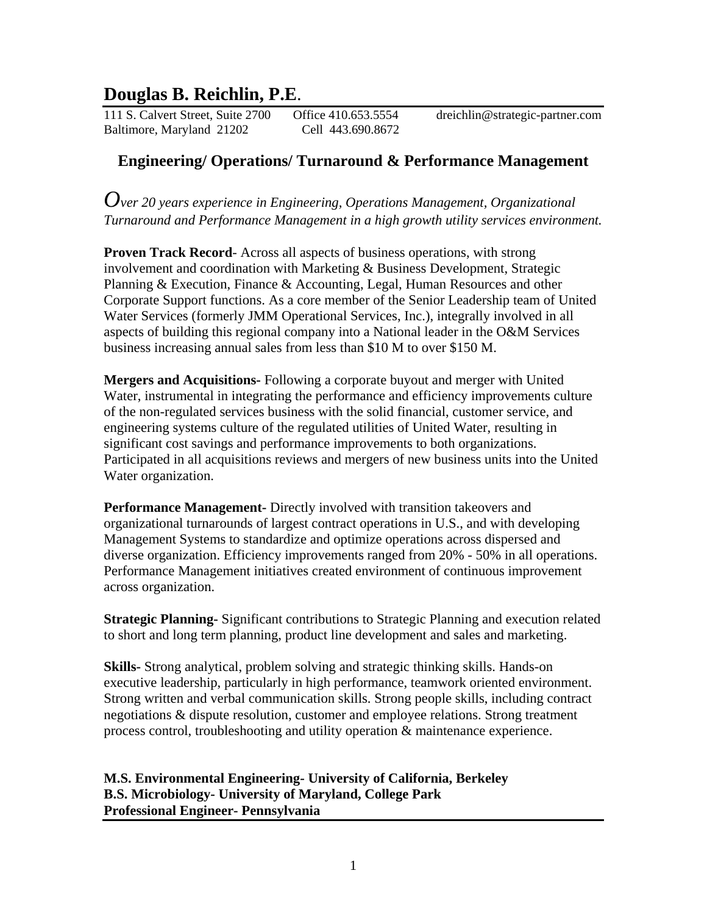# **Douglas B. Reichlin, P.E**.

111 S. Calvert Street, Suite 2700 Office 410.653.5554 dreichlin@strategic-partner.com Baltimore, Maryland 21202 Cell 443.690.8672

# **Engineering/ Operations/ Turnaround & Performance Management**

*Over 20 years experience in Engineering, Operations Management, Organizational Turnaround and Performance Management in a high growth utility services environment.* 

**Proven Track Record-** Across all aspects of business operations, with strong involvement and coordination with Marketing & Business Development, Strategic Planning & Execution, Finance & Accounting, Legal, Human Resources and other Corporate Support functions. As a core member of the Senior Leadership team of United Water Services (formerly JMM Operational Services, Inc.), integrally involved in all aspects of building this regional company into a National leader in the O&M Services business increasing annual sales from less than \$10 M to over \$150 M.

**Mergers and Acquisitions-** Following a corporate buyout and merger with United Water, instrumental in integrating the performance and efficiency improvements culture of the non-regulated services business with the solid financial, customer service, and engineering systems culture of the regulated utilities of United Water, resulting in significant cost savings and performance improvements to both organizations. Participated in all acquisitions reviews and mergers of new business units into the United Water organization.

**Performance Management-** Directly involved with transition takeovers and organizational turnarounds of largest contract operations in U.S., and with developing Management Systems to standardize and optimize operations across dispersed and diverse organization. Efficiency improvements ranged from 20% - 50% in all operations. Performance Management initiatives created environment of continuous improvement across organization.

**Strategic Planning-** Significant contributions to Strategic Planning and execution related to short and long term planning, product line development and sales and marketing.

**Skills-** Strong analytical, problem solving and strategic thinking skills. Hands-on executive leadership, particularly in high performance, teamwork oriented environment. Strong written and verbal communication skills. Strong people skills, including contract negotiations & dispute resolution, customer and employee relations. Strong treatment process control, troubleshooting and utility operation & maintenance experience.

**M.S. Environmental Engineering- University of California, Berkeley B.S. Microbiology- University of Maryland, College Park Professional Engineer- Pennsylvania**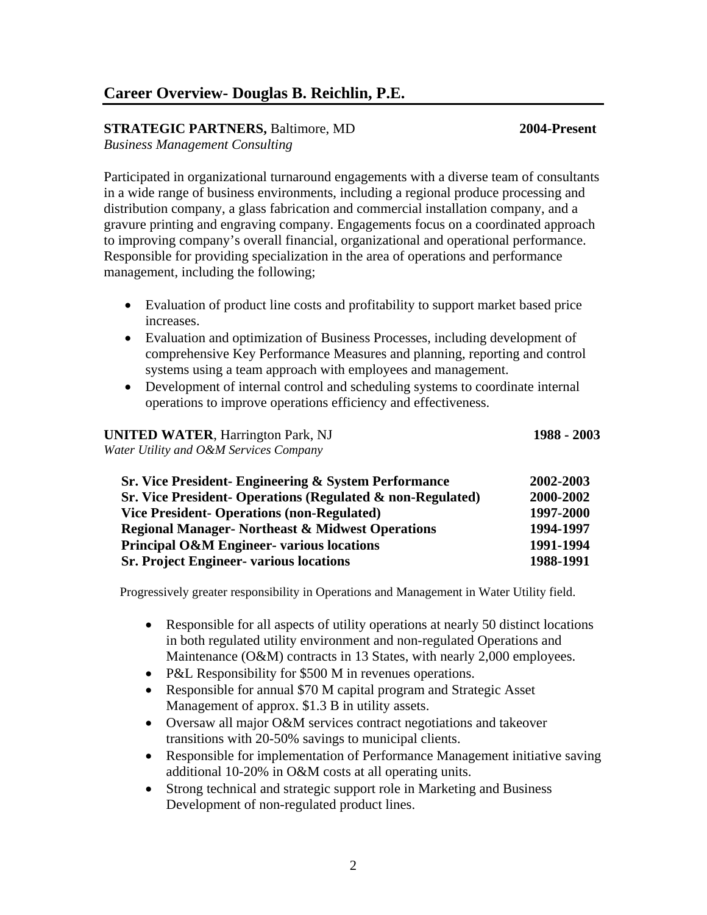### **Career Overview- Douglas B. Reichlin, P.E.**

### **STRATEGIC PARTNERS,** Baltimore, MD **2004-Present**

*Business Management Consulting* 

Participated in organizational turnaround engagements with a diverse team of consultants in a wide range of business environments, including a regional produce processing and distribution company, a glass fabrication and commercial installation company, and a gravure printing and engraving company. Engagements focus on a coordinated approach to improving company's overall financial, organizational and operational performance. Responsible for providing specialization in the area of operations and performance management, including the following;

- Evaluation of product line costs and profitability to support market based price increases.
- Evaluation and optimization of Business Processes, including development of comprehensive Key Performance Measures and planning, reporting and control systems using a team approach with employees and management.
- Development of internal control and scheduling systems to coordinate internal operations to improve operations efficiency and effectiveness.

## **UNITED WATER**, Harrington Park, NJ **1988 - 2003**

*Water Utility and O&M Services Company* 

 **Sr. Vice President- Engineering & System Performance 2002-2003 Sr. Vice President- Operations (Regulated & non-Regulated) 2000-2002 Vice President- Operations (non-Regulated) 1997-2000 Regional Manager- Northeast & Midwest Operations 1994-1997 Principal O&M Engineer- various locations 1991-1994 Sr. Project Engineer- various locations 1988-1991** 

Progressively greater responsibility in Operations and Management in Water Utility field.

- Responsible for all aspects of utility operations at nearly 50 distinct locations in both regulated utility environment and non-regulated Operations and Maintenance (O&M) contracts in 13 States, with nearly 2,000 employees.
- P&L Responsibility for \$500 M in revenues operations.
- Responsible for annual \$70 M capital program and Strategic Asset Management of approx. \$1.3 B in utility assets.
- Oversaw all major O&M services contract negotiations and takeover transitions with 20-50% savings to municipal clients.
- Responsible for implementation of Performance Management initiative saving additional 10-20% in O&M costs at all operating units.
- Strong technical and strategic support role in Marketing and Business Development of non-regulated product lines.